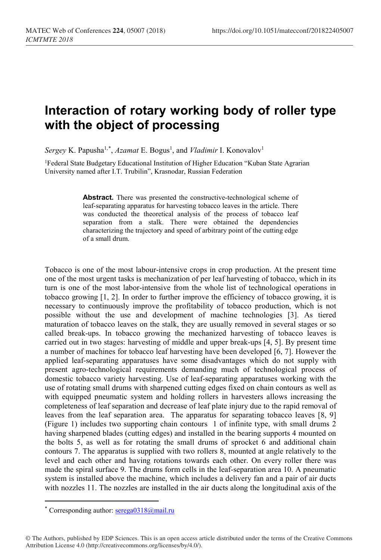## **Interaction of rotary working body of roller type with the object of processing**

*Sergey* K. Papusha<sup>1,[\\*](#page-0-0)</sup>, *Azamat* E. Bogus<sup>1</sup>, and *Vladimir* I. Konovalov<sup>1</sup>

1Federal State Budgetary Educational Institution of Higher Education "Kuban State Agrarian University named after I.T. Trubilin", Krasnodar, Russian Federation

> **Abstract.** There was presented the constructive-technological scheme of leaf-separating apparatus for harvesting tobacco leaves in the article. There was conducted the theoretical analysis of the process of tobacco leaf separation from a stalk. There were obtained the dependencies characterizing the trajectory and speed of arbitrary point of the cutting edge of a small drum.

Tobacco is one of the most labour-intensive crops in crop production. At the present time one of the most urgent tasks is mechanization of per leaf harvesting of tobacco, which in its turn is one of the most labor-intensive from the whole list of technological operations in tobacco growing [1, 2]. In order to further improve the efficiency of tobacco growing, it is necessary to continuously improve the profitability of tobacco production, which is not possible without the use and development of machine technologies [3]. As tiered maturation of tobacco leaves on the stalk, they are usually removed in several stages or so called break-ups. In tobacco growing the mechanized harvesting of tobacco leaves is carried out in two stages: harvesting of middle and upper break-ups [4, 5]. By present time a number of machines for tobacco leaf harvesting have been developed [6, 7]. However the applied leaf-separating apparatuses have some disadvantages which do not supply with present agro-technological requirements demanding much of technological process of domestic tobacco variety harvesting. Use of leaf-separating apparatuses working with the use of rotating small drums with sharpened cutting edges fixed on chain contours as well as with equipped pneumatic system and holding rollers in harvesters allows increasing the completeness of leaf separation and decrease of leaf plate injury due to the rapid removal of leaves from the leaf separation area. The apparatus for separating tobacco leaves [8, 9] (Figure 1) includes two supporting chain contours 1 of infinite type, with small drums 2 having sharpened blades (cutting edges) and installed in the bearing supports 4 mounted on the bolts 5, as well as for rotating the small drums of sprocket 6 and additional chain contours 7. The apparatus is supplied with two rollers 8, mounted at angle relatively to the level and each other and having rotations towards each other. On every roller there was made the spiral surface 9. The drums form cells in the leaf-separation area 10. A pneumatic system is installed above the machine, which includes a delivery fan and a pair of air ducts with nozzles 11. The nozzles are installed in the air ducts along the longitudinal axis of the

 $\overline{a}$ 

<span id="page-0-0"></span><sup>\*</sup> Corresponding author: serega0318@mail.ru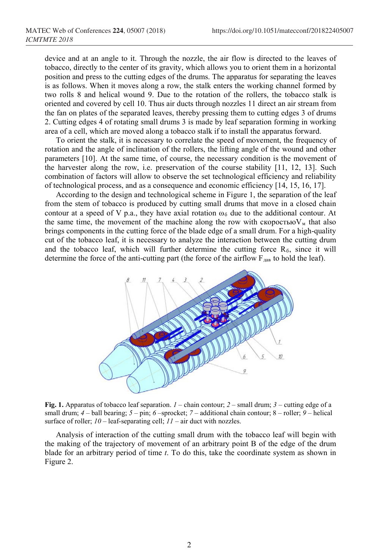device and at an angle to it. Through the nozzle, the air flow is directed to the leaves of tobacco, directly to the center of its gravity, which allows you to orient them in a horizontal position and press to the cutting edges of the drums. The apparatus for separating the leaves is as follows. When it moves along a row, the stalk enters the working channel formed by two rolls 8 and helical wound 9. Due to the rotation of the rollers, the tobacco stalk is oriented and covered by cell 10. Thus air ducts through nozzles 11 direct an air stream from the fan on plates of the separated leaves, thereby pressing them to cutting edges 3 of drums 2. Cutting edges 4 of rotating small drums 3 is made by leaf separation forming in working area of a cell, which are moved along a tobacco stalk if to install the apparatus forward.

To orient the stalk, it is necessary to correlate the speed of movement, the frequency of rotation and the angle of inclination of the rollers, the lifting angle of the wound and other parameters [10]. At the same time, of course, the necessary condition is the movement of the harvester along the row, i.e. preservation of the course stability [11, 12, 13]. Such combination of factors will allow to observe the set technological efficiency and reliability of technological process, and as a consequence and economic efficiency [14, 15, 16, 17].

According to the design and technological scheme in Figure 1, the separation of the leaf from the stem of tobacco is produced by cutting small drums that move in a closed chain contour at a speed of V p.a., they have axial rotation  $\omega_6$  due to the additional contour. At the same time, the movement of the machine along the row with скоростью $V<sub>M</sub>$  that also brings components in the cutting force of the blade edge of a small drum. For a high-quality cut of the tobacco leaf, it is necessary to analyze the interaction between the cutting drum and the tobacco leaf, which will further determine the cutting force  $R_6$ , since it will determine the force of the anti-cutting part (the force of the airflow  $F_{\text{gas}}$  to hold the leaf).



**Fig. 1.** Apparatus of tobacco leaf separation. *1* – chain contour; *2* – small drum; *3* – cutting edge of a small drum;  $4$  – ball bearing;  $5$  – pin;  $6$  –sprocket;  $7$  – additional chain contour;  $8$  – roller;  $9$  – helical surface of roller; *10* – leaf-separating cell; *11* – air duct with nozzles.

Analysis of interaction of the cutting small drum with the tobacco leaf will begin with the making of the trajectory of movement of an arbitrary point B of the edge of the drum blade for an arbitrary period of time *t*. To do this, take the coordinate system as shown in Figure 2.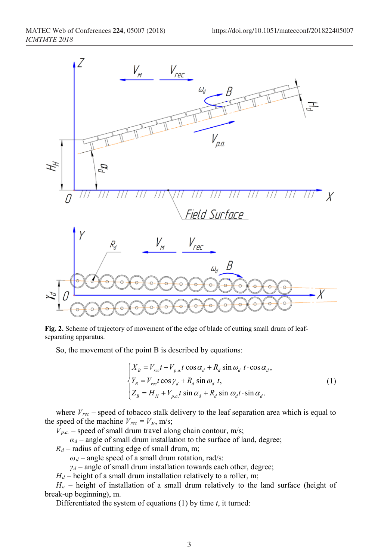

**Fig. 2.** Scheme of trajectory of movement of the edge of blade of cutting small drum of leafseparating apparatus.

So, the movement of the point B is described by equations:

$$
\begin{cases}\nX_B = V_{rec}t + V_{p.a.}t\cos\alpha_d + R_d\sin\omega_d t\cdot\cos\alpha_d, \\
Y_B = V_{rec}t\cos\gamma_d + R_d\sin\omega_d t, \\
Z_B = H_H + V_{p.a.}t\sin\alpha_d + R_d\sin\omega_d t\cdot\sin\alpha_d.\n\end{cases}
$$
\n(1)

where  $V_{rec}$  – speed of tobacco stalk delivery to the leaf separation area which is equal to the speed of the machine  $V_{rec} = V_M$ , m/s;

 $V_{p,a}$  – speed of small drum travel along chain contour, m/s;

 $\alpha_d$  – angle of small drum installation to the surface of land, degree;

 $R_d$  – radius of cutting edge of small drum, m;

 $\omega_d$  – angle speed of a small drum rotation, rad/s:

 $\gamma_d$  – angle of small drum installation towards each other, degree;

*H*<sup> $d$ </sup> – height of a small drum installation relatively to a roller, m;

*Нн* – height of installation of a small drum relatively to the land surface (height of break-up beginning), m.

Differentiated the system of equations (1) by time *t*, it turned: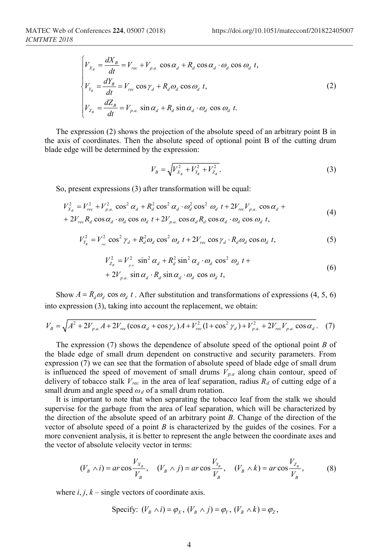$$
\begin{cases}\nV_{X_B} = \frac{dX_B}{dt} = V_{rec} + V_{p.a.} \cos \alpha_d + R_d \cos \alpha_d \cdot \omega_d \cos \omega_d t, \\
V_{Y_B} = \frac{dY_B}{dt} = V_{rec} \cos \gamma_d + R_d \omega_d \cos \omega_d t, \\
V_{Z_B} = \frac{dZ_B}{dt} = V_{p.a.} \sin \alpha_d + R_d \sin \alpha_d \cdot \omega_d \cos \omega_d t.\n\end{cases}
$$
\n(2)

The expression (2) shows the projection of the absolute speed of an arbitrary point B in the axis of coordinates. Then the absolute speed of optional point B of the cutting drum blade edge will be determined by the expression:

$$
V_B = \sqrt{V_{X_B}^2 + V_{Y_B}^2 + V_{Z_B}^2}.
$$
\n(3)

So, present expressions (3) after transformation will be equal:

$$
V_{X_B}^2 = V_{rec}^2 + V_{p.a.}^2 \cos^2 \alpha_d + R_d^2 \cos^2 \alpha_d \cdot \omega_d^2 \cos^2 \omega_d t + 2V_{rec}V_{p.a.} \cos \alpha_d +
$$
  
+ 
$$
2V_{rec}R_d \cos \alpha_d \cdot \omega_d \cos \omega_d t + 2V_{p.a.} \cos \alpha_d R_d \cos \alpha_d \cdot \omega_d \cos \omega_d t,
$$
 (4)

$$
V_{Y_B}^2 = V_{\text{rec}}^2 \cos^2 \gamma_d + R_d^2 \omega_d \cos^2 \omega_d \ t + 2V_{\text{rec}} \cos \gamma_d \cdot R_d \omega_d \cos \omega_d \ t,\tag{5}
$$

$$
V_{Z_B}^2 = V_{p,a}^2 \sin^2 \alpha_d + R_d^2 \sin^2 \alpha_d \cdot \omega_d \cos^2 \omega_d t +
$$
  
+ 2V\_{p,a.} \sin \alpha\_d \cdot R\_d \sin \alpha\_d \cdot \omega\_d \cos \omega\_d t, (6)

Show  $A = R_d \omega_d \cos \omega_d t$ . After substitution and transformations of expressions (4, 5, 6) into expression (3), taking into account the replacement, we obtain:

$$
V_B = \sqrt{A^2 + 2V_{p.a.}A + 2V_{rec}(\cos\alpha_d + \cos\gamma_d)A + V_{rec}^2(1 + \cos^2\gamma_d) + V_{p.a.}^2 + 2V_{rec}V_{p.a.}\cos\alpha_d}. \tag{7}
$$

The expression (7) shows the dependence of absolute speed of the optional point *В* of the blade edge of small drum dependent on constructive and security parameters. From expression (7) we can see that the formation of absolute speed of blade edge of small drum is influenced the speed of movement of small drums *Vр.<sup>а</sup>* along chain contour, speed of delivery of tobacco stalk  $V_{rec}$  in the area of leaf separation, radius  $R_d$  of cutting edge of a small drum and angle speed *ω<sup>d</sup>* of a small drum rotation.

It is important to note that when separating the tobacco leaf from the stalk we should supervise for the garbage from the area of leaf separation, which will be characterized by the direction of the absolute speed of an arbitrary point *B*. Change of the direction of the vector of absolute speed of a point  $B$  is characterized by the guides of the cosines. For a more convenient analysis, it is better to represent the angle between the coordinate axes and the vector of absolute velocity vector in terms:

$$
(V_B \wedge i) = ar \cos \frac{V_{X_B}}{V_B}, \quad (V_B \wedge j) = ar \cos \frac{V_{Y_B}}{V_B}, \quad (V_B \wedge k) = ar \cos \frac{V_{Z_B}}{V_B}, \tag{8}
$$

where  $i, j, k$  – single vectors of coordinate axis.

$$
\text{Specify: } (V_B \wedge i) = \varphi_X, (V_B \wedge j) = \varphi_Y, (V_B \wedge k) = \varphi_Z,
$$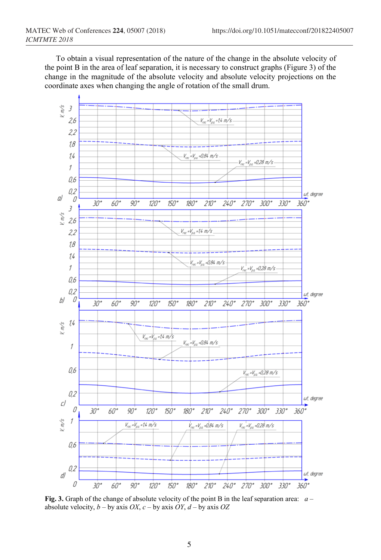To obtain a visual representation of the nature of the change in the absolute velocity of the point B in the area of leaf separation, it is necessary to construct graphs (Figure 3) of the change in the magnitude of the absolute velocity and absolute velocity projections on the coordinate axes when changing the angle of rotation of the small drum.



**Fig. 3.** Graph of the change of absolute velocity of the point B in the leaf separation area: *а* – absolute velocity,  $b - by$  axis  $OX$ ,  $c - by$  axis  $OY$ ,  $d - by$  axis  $OZ$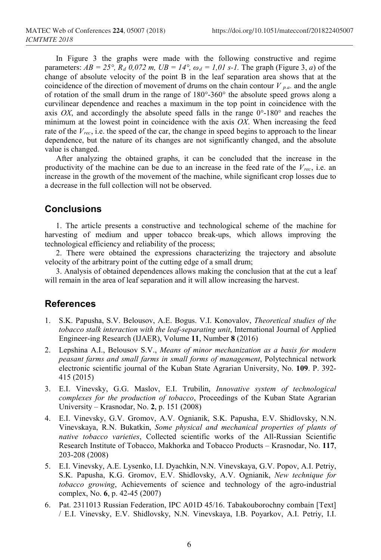In Figure 3 the graphs were made with the following constructive and regime parameters:  $AB = 25^\circ$ ,  $R_d$  0,072 m,  $UB = 14^\circ$ ,  $\omega_d = 1.01$  s-1. The graph (Figure 3, *a*) of the change of absolute velocity of the point B in the leaf separation area shows that at the coincidence of the direction of movement of drums on the chain contour  $V_{p,a}$ , and the angle of rotation of the small drum in the range of 180°-360° the absolute speed grows along a curvilinear dependence and reaches a maximum in the top point in coincidence with the axis *OX*, and accordingly the absolute speed falls in the range  $0^{\circ}$ -180 $^{\circ}$  and reaches the minimum at the lowest point in coincidence with the axis *OX*. When increasing the feed rate of the *Vrec*, i.e. the speed of the car, the change in speed begins to approach to the linear dependence, but the nature of its changes are not significantly changed, and the absolute value is changed.

After analyzing the obtained graphs, it can be concluded that the increase in the productivity of the machine can be due to an increase in the feed rate of the *Vrec*, i.e. an increase in the growth of the movement of the machine, while significant crop losses due to a decrease in the full collection will not be observed.

## **Conclusions**

1. The article presents a constructive and technological scheme of the machine for harvesting of medium and upper tobacco break-ups, which allows improving the technological efficiency and reliability of the process;

2. There were obtained the expressions characterizing the trajectory and absolute velocity of the arbitrary point of the cutting edge of a small drum;

3. Analysis of obtained dependences allows making the conclusion that at the cut a leaf will remain in the area of leaf separation and it will allow increasing the harvest.

## **References**

- 1. S.K. Papusha, S.V. Belousov, A.E. Bogus. V.I. Konovalov, *Theoretical studies of the tobacco stalk interaction with the leaf-separating unit*, International Journal of Applied Engineer-ing Research (IJAER), Volume **11**, Number **8** (2016)
- 2. Lepshina A.I., Belousov S.V., *Means of minor mechanization as a basis for modern peasant farms and small farms in small forms of management*, Polytechnical network electronic scientific journal of the Kuban State Agrarian University, No. **109**. P. 392- 415 (2015)
- 3. E.I. Vinevsky, G.G. Maslov, E.I. Trubilin, *Innovative system of technological complexes for the production of tobacco*, Proceedings of the Kuban State Agrarian University – Krasnodar, No. **2**, p. 151 (2008)
- 4. E.I. Vinevsky, G.V. Gromov, A.V. Ognianik, S.K. Papusha, E.V. Shidlovsky, N.N. Vinevskaya, R.N. Bukatkin, *Some physical and mechanical properties of plants of native tobacco varieties*, Collected scientific works of the All-Russian Scientific Research Institute of Tobacco, Makhorka and Tobacco Products – Krasnodar, No. **117**, 203-208 (2008)
- 5. E.I. Vinevsky, A.E. Lysenko, I.I. Dyachkin, N.N. Vinevskaya, G.V. Popov, A.I. Petriy, S.K. Papusha, K.G. Gromov, E.V. Shidlovsky, A.V. Ognianik, *New technique for tobacco growing*, Achievements of science and technology of the agro-industrial complex, No. **6**, p. 42-45 (2007)
- 6. Pat. 2311013 Russian Federation, IPC A01D 45/16. Tabakouborochny combain [Text] / E.I. Vinevsky, E.V. Shidlovsky, N.N. Vinevskaya, I.B. Poyarkov, A.I. Petriy, I.I.